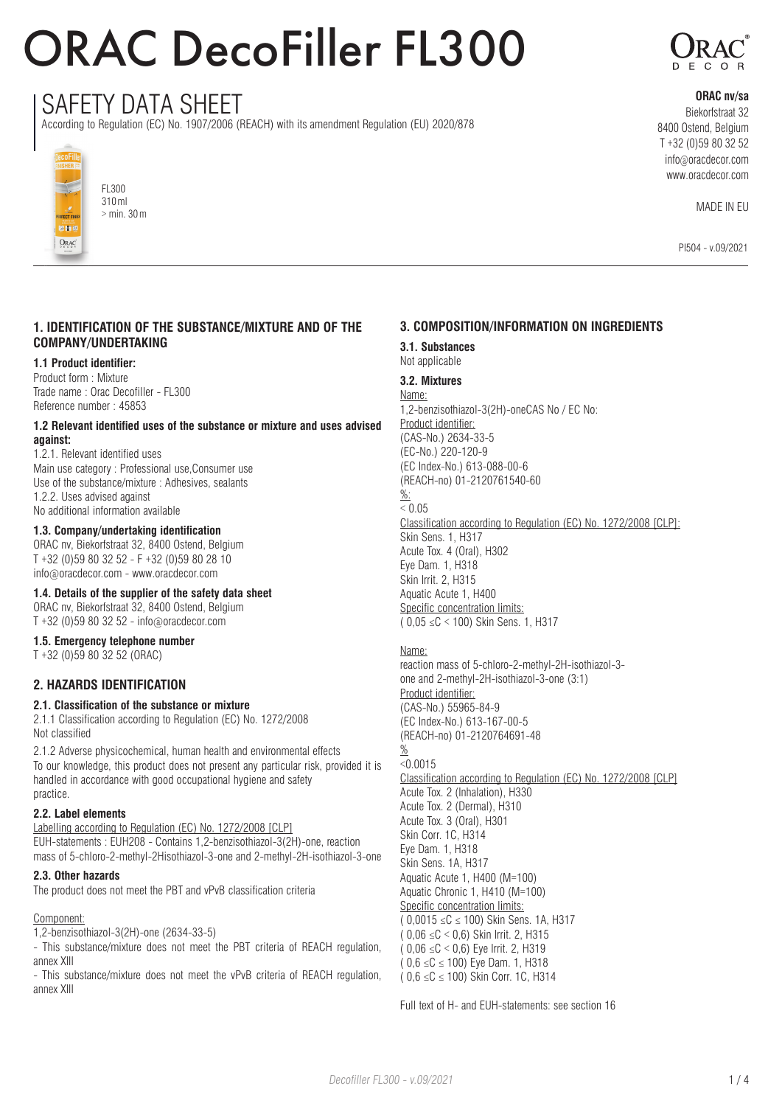# ORAC DecoFiller FL300

# SAFETY DATA SHEET

According to Regulation (EC) No. 1907/2006 (REACH) with its amendment Regulation (EU) 2020/878



FL300 310 ml > min. 30 m



# **ORAC nv/sa**

Biekorfstraat 32 8400 Ostend, Belgium T +32 (0)59 80 32 52 info@oracdecor.com www.oracdecor.com

MADE IN EU

PI504 - v.09/2021

# **1. IDENTIFICATION OF THE SUBSTANCE/MIXTURE AND OF THE COMPANY/UNDERTAKING**

## **1.1 Product identifier:**

Product form : Mixture Trade name : Orac Decofiller - FL300 Reference number : 45853

#### **1.2 Relevant identified uses of the substance or mixture and uses advised against:**

1.2.1. Relevant identified uses Main use category : Professional use,Consumer use Use of the substance/mixture : Adhesives, sealants 1.2.2. Uses advised against No additional information available

# **1.3. Company/undertaking identification**

ORAC nv, Biekorfstraat 32, 8400 Ostend, Belgium T +32 (0)59 80 32 52 - F +32 (0)59 80 28 10 info@oracdecor.com - www.oracdecor.com

# **1.4. Details of the supplier of the safety data sheet**

ORAC nv, Biekorfstraat 32, 8400 Ostend, Belgium T +32 (0)59 80 32 52 - info@oracdecor.com

# **1.5. Emergency telephone number**

T +32 (0)59 80 32 52 (ORAC)

# **2. HAZARDS IDENTIFICATION**

#### **2.1. Classification of the substance or mixture**

2.1.1 Classification according to Regulation (EC) No. 1272/2008 Not classified

2.1.2 Adverse physicochemical, human health and environmental effects To our knowledge, this product does not present any particular risk, provided it is handled in accordance with good occupational hygiene and safety practice.

# **2.2. Label elements**

Labelling according to Regulation (EC) No. 1272/2008 [CLP] EUH-statements : EUH208 - Contains 1,2-benzisothiazol-3(2H)-one, reaction mass of 5-chloro-2-methyl-2Hisothiazol-3-one and 2-methyl-2H-isothiazol-3-one

# **2.3. Other hazards**

The product does not meet the PBT and vPvB classification criteria

# Component:

1,2-benzisothiazol-3(2H)-one (2634-33-5)

- This substance/mixture does not meet the PBT criteria of REACH regulation, annex XIII

- This substance/mixture does not meet the vPvB criteria of REACH regulation, annex XIII

# **3. COMPOSITION/INFORMATION ON INGREDIENTS**

#### **3.1. Substances** Not applicable

# **3.2. Mixtures**

# Name:

1,2-benzisothiazol-3(2H)-oneCAS No / EC No:

Product identifier: (CAS-No.) 2634-33-5

(EC-No.) 220-120-9 (EC Index-No.) 613-088-00-6

(REACH-no) 01-2120761540-60

#### $\frac{0}{0}$ :  $< 0.05$

Classification according to Regulation (EC) No. 1272/2008 [CLP]: Skin Sens. 1, H317 Acute Tox. 4 (Oral), H302 Eye Dam. 1, H318 Skin Irrit. 2, H315 Aquatic Acute 1, H400 Specific concentration limits: ( 0,05 ≤C < 100) Skin Sens. 1, H317

#### Name:

reaction mass of 5-chloro-2-methyl-2H-isothiazol-3 one and 2-methyl-2H-isothiazol-3-one (3:1) Product identifier: (CAS-No.) 55965-84-9 (EC Index-No.) 613-167-00-5 (REACH-no) 01-2120764691-48  $\frac{0}{0}$ 

# $< 0.0015$

Classification according to Regulation (EC) No. 1272/2008 [CLP] Acute Tox. 2 (Inhalation), H330 Acute Tox. 2 (Dermal), H310 Acute Tox. 3 (Oral), H301 Skin Corr. 1C, H314 Eye Dam. 1, H318 Skin Sens. 1A, H317 Aquatic Acute 1, H400 (M=100) Aquatic Chronic 1, H410 (M=100) Specific concentration limits: ( 0,0015 ≤C ≤ 100) Skin Sens. 1A, H317 ( 0,06 ≤C < 0,6) Skin Irrit. 2, H315 ( 0,06 ≤C < 0,6) Eye Irrit. 2, H319 ( 0,6 ≤C ≤ 100) Eye Dam. 1, H318 ( 0,6 ≤C ≤ 100) Skin Corr. 1C, H314

Full text of H- and EUH-statements: see section 16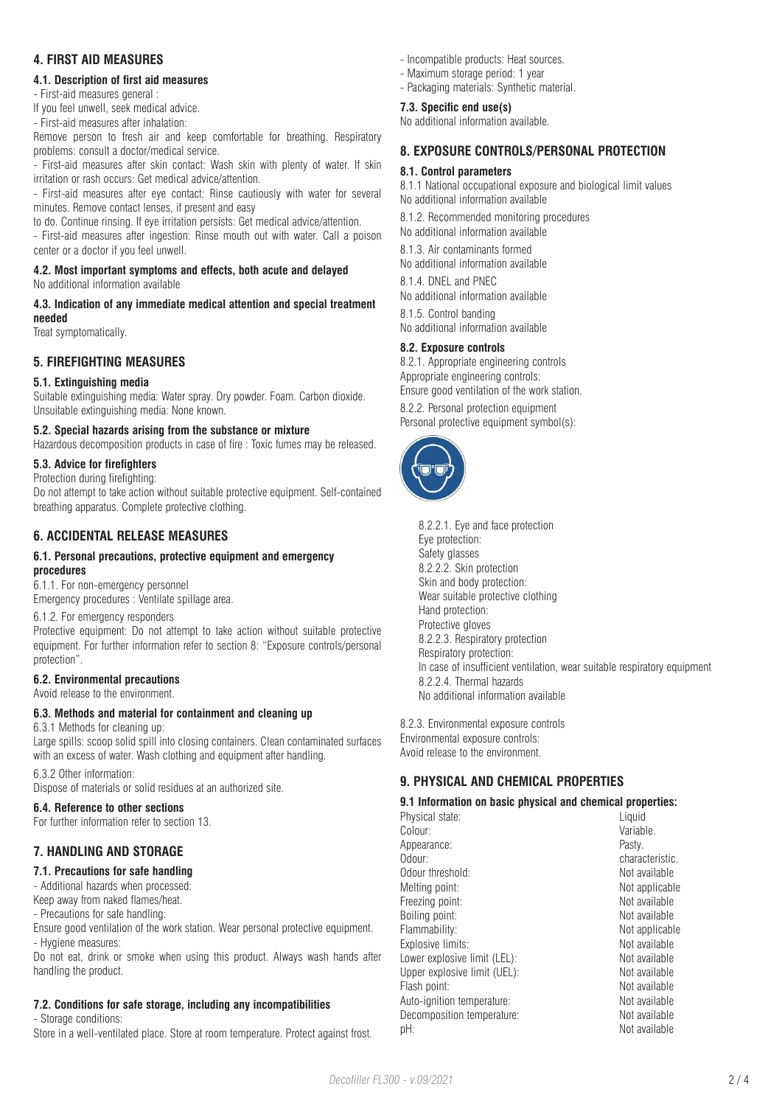# **4. FIRST AID MEASURES**

#### **4.1. Description of first aid measures**

- First-aid measures general :

If you feel unwell, seek medical advice.

- First-aid measures after inhalation:

Remove person to fresh air and keep comfortable for breathing. Respiratory problems: consult a doctor/medical service.

- First-aid measures after skin contact: Wash skin with plenty of water. If skin irritation or rash occurs: Get medical advice/attention.

- First-aid measures after eye contact: Rinse cautiously with water for several minutes. Remove contact lenses, if present and easy

to do. Continue rinsing. If eye irritation persists: Get medical advice/attention.

- First-aid measures after ingestion: Rinse mouth out with water. Call a poison center or a doctor if you feel unwell.

**4.2. Most important symptoms and effects, both acute and delayed** No additional information available

#### **4.3. Indication of any immediate medical attention and special treatment needed**

Treat symptomatically.

## **5. FIREFIGHTING MEASURES**

#### **5.1. Extinguishing media**

Suitable extinguishing media: Water spray. Dry powder. Foam. Carbon dioxide. Unsuitable extinguishing media: None known.

#### **5.2. Special hazards arising from the substance or mixture**

Hazardous decomposition products in case of fire : Toxic fumes may be released.

#### **5.3. Advice for firefighters**

#### Protection during firefighting:

Do not attempt to take action without suitable protective equipment. Self-contained breathing apparatus. Complete protective clothing.

#### **6. ACCIDENTAL RELEASE MEASURES**

#### **6.1. Personal precautions, protective equipment and emergency procedures**

6.1.1. For non-emergency personnel

Emergency procedures : Ventilate spillage area.

#### 6.1.2. For emergency responders

Protective equipment: Do not attempt to take action without suitable protective equipment. For further information refer to section 8: "Exposure controls/personal protection".

#### **6.2. Environmental precautions**

Avoid release to the environment.

#### **6.3. Methods and material for containment and cleaning up**

6.3.1 Methods for cleaning up: Large spills: scoop solid spill into closing containers. Clean contaminated surfaces with an excess of water. Wash clothing and equipment after handling.

6.3.2 Other information:

Dispose of materials or solid residues at an authorized site.

#### **6.4. Reference to other sections**

For further information refer to section 13.

# **7. HANDLING AND STORAGE**

#### **7.1. Precautions for safe handling**

- Additional hazards when processed:

Keep away from naked flames/heat.

- Precautions for safe handling:

Ensure good ventilation of the work station. Wear personal protective equipment. - Hygiene measures:

Do not eat, drink or smoke when using this product. Always wash hands after handling the product.

#### **7.2. Conditions for safe storage, including any incompatibilities**

- Storage conditions:

Store in a well-ventilated place. Store at room temperature. Protect against frost.

- Incompatible products: Heat sources.

- Maximum storage period: 1 year

- Packaging materials: Synthetic material.

#### **7.3. Specific end use(s)**

No additional information available.

#### **8. EXPOSURE CONTROLS/PERSONAL PROTECTION**

#### **8.1. Control parameters**

8.1.1 National occupational exposure and biological limit values No additional information available

8.1.2. Recommended monitoring procedures

No additional information available

8.1.3. Air contaminants formed No additional information available

8.1.4. DNEL and PNEC

No additional information available

8.1.5. Control banding No additional information available

#### **8.2. Exposure controls**

8.2.1. Appropriate engineering controls Appropriate engineering controls: Ensure good ventilation of the work station.

8.2.2. Personal protection equipment

Personal protective equipment symbol(s):



8.2.2.1. Eye and face protection Eye protection: Safety glasses 8.2.2.2. Skin protection Skin and body protection: Wear suitable protective clothing Hand protection: Protective gloves 8.2.2.3. Respiratory protection Respiratory protection: In case of insufficient ventilation, wear suitable respiratory equipment 8.2.2.4. Thermal hazards No additional information available

8.2.3. Environmental exposure controls Environmental exposure controls: Avoid release to the environment.

# **9. PHYSICAL AND CHEMICAL PROPERTIES**

# **9.1 Information on basic physical and chemical properties:**

Variable.

Not applicable<br>Not available

Physical state:<br>Colour: Appearance: Pasty. Odour: characteristic. Odour threshold: Not available<br>Melting point: Not applicable Melting point: Freezing point: Not available<br>
Rojling point: Not available<br>
Not available Boiling point: Flammability: Not applicable Explosive limits: Not available Lower explosive limit (LEL): Not available Upper explosive limit (UEL): Not available Flash point: Not available Auto-ignition temperature: Not available Decomposition temperature: Not available pH: Not available

Decofiller FL300 - v.09/2021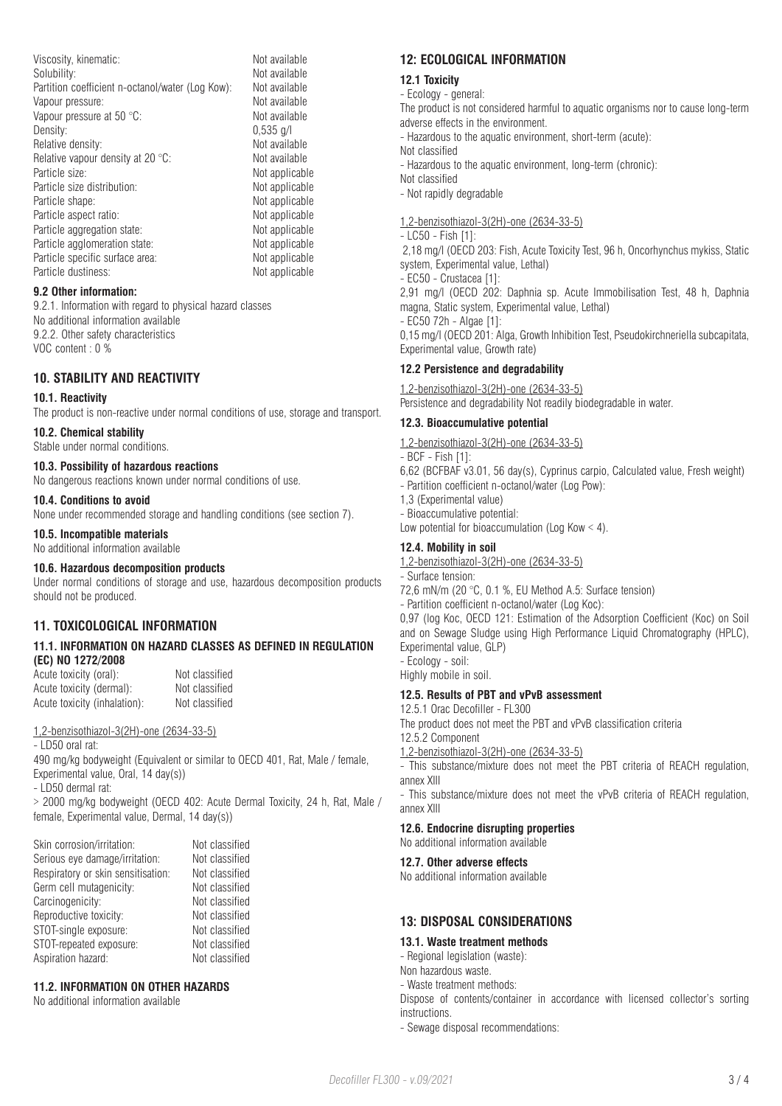Viscosity, kinematic: Not available Solubility: Not available Partition coefficient n-octanol/water (Log Kow): Not available Vapour pressure:  $\blacksquare$  Not available Vapour pressure at 50  $\degree$ C:  $\blacksquare$  Not available Vapour pressure at 50  $\degree$ C: Vapour pressure at 50  $^{\circ}$ C: Density: 0,535 g/l Relative density: Not available Relative vapour density at  $20^{\circ}$ C: Not available Particle size: Not applicable Particle size distribution: Not applicable Particle shape: Not applicable Particle aspect ratio:<br>
Particle aggregation state:<br>
Not applicable<br>
Not applicable Particle aggregation state: Particle agglomeration state:<br>
Particle specific surface area:<br>
Not applicable<br>
Not applicable Particle specific surface area: Particle dustiness: Not applicable

#### **9.2 Other information:**

9.2.1. Information with regard to physical hazard classes No additional information available 9.2.2. Other safety characteristics VOC content : 0 %

#### **10. STABILITY AND REACTIVITY**

#### **10.1. Reactivity**

The product is non-reactive under normal conditions of use, storage and transport.

## **10.2. Chemical stability**

Stable under normal conditions.

#### **10.3. Possibility of hazardous reactions**

No dangerous reactions known under normal conditions of use.

#### **10.4. Conditions to avoid**

None under recommended storage and handling conditions (see section 7).

#### **10.5. Incompatible materials**

No additional information available

#### **10.6. Hazardous decomposition products**

Under normal conditions of storage and use, hazardous decomposition products should not be produced.

#### **11. TOXICOLOGICAL INFORMATION**

#### **11.1. INFORMATION ON HAZARD CLASSES AS DEFINED IN REGULATION (EC) NO 1272/2008**

Acute toxicity (oral): Not classified Acute toxicity (dermal):<br>
Acute toxicity (inhalation): Not classified Acute toxicity (inhalation):

#### 1,2-benzisothiazol-3(2H)-one (2634-33-5)

- LD50 oral rat:

490 mg/kg bodyweight (Equivalent or similar to OECD 401, Rat, Male / female, Experimental value, Oral, 14 day(s))

- LD50 dermal rat:

> 2000 mg/kg bodyweight (OECD 402: Acute Dermal Toxicity, 24 h, Rat, Male / female, Experimental value, Dermal, 14 day(s))

| Skin corrosion/irritation:         | Not classified |
|------------------------------------|----------------|
| Serious eye damage/irritation:     | Not classified |
| Respiratory or skin sensitisation: | Not classified |
| Germ cell mutagenicity:            | Not classified |
| Carcinogenicity:                   | Not classified |
| Reproductive toxicity:             | Not classified |
| STOT-single exposure:              | Not classified |
| STOT-repeated exposure:            | Not classified |
| Aspiration hazard:                 | Not classified |

# **11.2. INFORMATION ON OTHER HAZARDS**

No additional information available

# **12: ECOLOGICAL INFORMATION**

#### **12.1 Toxicity**

- Ecology - general:

The product is not considered harmful to aquatic organisms nor to cause long-term adverse effects in the environment.

- Hazardous to the aquatic environment, short-term (acute):

Not classified

- Hazardous to the aquatic environment, long-term (chronic):

Not classified

- Not rapidly degradable

#### 1,2-benzisothiazol-3(2H)-one (2634-33-5)

#### - LC50 - Fish [1]:

 2,18 mg/l (OECD 203: Fish, Acute Toxicity Test, 96 h, Oncorhynchus mykiss, Static system, Experimental value, Lethal)

- EC50 - Crustacea [1]:

2,91 mg/l (OECD 202: Daphnia sp. Acute Immobilisation Test, 48 h, Daphnia magna, Static system, Experimental value, Lethal)

- EC50 72h - Algae [1]:

0,15 mg/l (OECD 201: Alga, Growth Inhibition Test, Pseudokirchneriella subcapitata, Experimental value, Growth rate)

## **12.2 Persistence and degradability**

1,2-benzisothiazol-3(2H)-one (2634-33-5) Persistence and degradability Not readily biodegradable in water.

#### **12.3. Bioaccumulative potential**

1,2-benzisothiazol-3(2H)-one (2634-33-5)

- BCF Fish [1]:
- 6,62 (BCFBAF v3.01, 56 day(s), Cyprinus carpio, Calculated value, Fresh weight) - Partition coefficient n-octanol/water (Log Pow):
- 1,3 (Experimental value)

# - Bioaccumulative potential:

Low potential for bioaccumulation (Log Kow < 4).

# **12.4. Mobility in soil**

1,2-benzisothiazol-3(2H)-one (2634-33-5)

- Surface tension:

72,6 mN/m (20 °C, 0.1 %, EU Method A.5: Surface tension)

- Partition coefficient n-octanol/water (Log Koc):

0,97 (log Koc, OECD 121: Estimation of the Adsorption Coefficient (Koc) on Soil and on Sewage Sludge using High Performance Liquid Chromatography (HPLC), Experimental value, GLP) - Ecology - soil:

Highly mobile in soil.

#### **12.5. Results of PBT and vPvB assessment**

12.5.1 Orac Decofiller - FL300 The product does not meet the PBT and vPvB classification criteria 12.5.2 Component

1,2-benzisothiazol-3(2H)-one (2634-33-5)

- This substance/mixture does not meet the PBT criteria of REACH regulation, annex XIII

- This substance/mixture does not meet the vPvB criteria of REACH regulation, annex XIII

# **12.6. Endocrine disrupting properties**

No additional information available

# **12.7. Other adverse effects**

No additional information available

# **13: DISPOSAL CONSIDERATIONS**

#### **13.1. Waste treatment methods**

- Regional legislation (waste):

Non hazardous waste.

- Waste treatment methods:

Dispose of contents/container in accordance with licensed collector's sorting instructions.

- Sewage disposal recommendations: